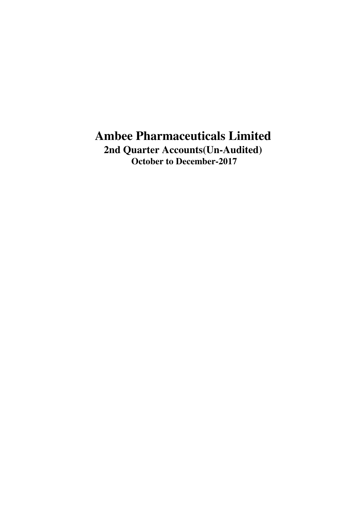**2nd Quarter Accounts(Un-Audited) October to December-2017**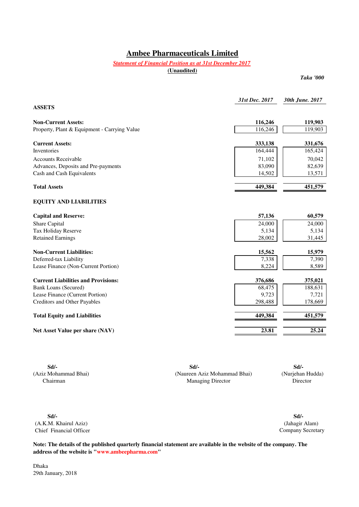#### *Statement of Financial Position as at 31st December 2017*

**(Unaudited)**

*Taka '000*

|                                              | 31st Dec. 2017 | 30th June. 2017 |
|----------------------------------------------|----------------|-----------------|
| <b>ASSETS</b>                                |                |                 |
| <b>Non-Current Assets:</b>                   | 116,246        | 119,903         |
| Property, Plant & Equipment - Carrying Value | 116,246        | 119,903         |
| <b>Current Assets:</b>                       | 333,138        | 331,676         |
| <b>Inventories</b>                           | 164,444        | 165,424         |
| <b>Accounts Receivable</b>                   | 71,102         | 70,042          |
| Advances, Deposits and Pre-payments          | 83,090         | 82,639          |
| Cash and Cash Equivalents                    | 14,502         | 13,571          |
| <b>Total Assets</b>                          | 449,384        | 451,579         |
| <b>EQUITY AND LIABILITIES</b>                |                |                 |
| <b>Capital and Reserve:</b>                  | 57,136         | 60,579          |
| Share Capital                                | 24,000         | 24,000          |
| Tax Holiday Reserve                          | 5,134          | 5,134           |
| <b>Retained Earnings</b>                     | 28,002         | 31,445          |
| <b>Non-Current Liabilities:</b>              | 15,562         | 15,979          |
| Deferred-tax Liability                       | 7,338          | 7,390           |
| Lease Finance (Non-Current Portion)          | 8,224          | 8,589           |
| <b>Current Liabilities and Provisions:</b>   | 376,686        | 375,021         |
| <b>Bank Loans (Secured)</b>                  | 68,475         | 188,631         |
| Lease Finance (Current Portion)              | 9,723          | 7,721           |
| Creditors and Other Payables                 | 298,488        | 178,669         |
| <b>Total Equity and Liabilities</b>          | 449,384        | 451,579         |
| Net Asset Value per share (NAV)              | 23.81          | 25.24           |

**Sd/- Sd/- Sd/-** (Aziz Mohammad Bhai) (Naureen Aziz Mohammad Bhai) Chairman Managing Director

 (Nurjehan Hudda) Director

**Sd/- Sd/-** (A.K.M. Khairul Aziz) (Jahagir Alam) Chief Financial Officer

Company Secretary

**Note: The details of the published quarterly financial statement are available in the website of the company. The address of the website is "www.ambeepharma.com"**

Dhaka 29th January, 2018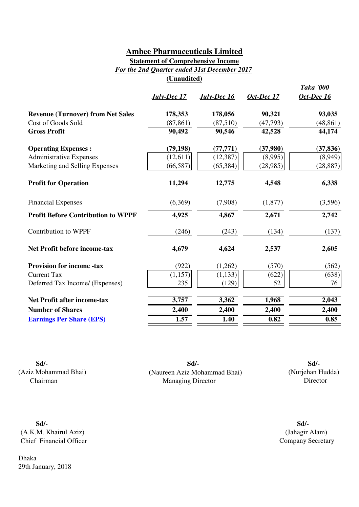#### **(Unaudited) Ambee Pharmaceuticals Limited Statement of Comprehensive Income** *For the 2nd Quarter ended 31st December 2017*

|                                           | July-Dec 17 | July-Dec 16 | Oct-Dec 17 | <b>Taka '000</b><br>Oct-Dec 16 |
|-------------------------------------------|-------------|-------------|------------|--------------------------------|
| <b>Revenue (Turnover) from Net Sales</b>  | 178,353     | 178,056     | 90,321     | 93,035                         |
| Cost of Goods Sold                        | (87, 861)   | (87,510)    | (47, 793)  | (48, 861)                      |
| <b>Gross Profit</b>                       | 90,492      | 90,546      | 42,528     | 44,174                         |
| <b>Operating Expenses:</b>                | (79, 198)   | (77, 771)   | (37,980)   | (37, 836)                      |
| <b>Administrative Expenses</b>            | (12, 611)   | (12, 387)   | (8,995)    | (8,949)                        |
| Marketing and Selling Expenses            | (66, 587)   | (65, 384)   | (28,985)   | (28, 887)                      |
| <b>Profit for Operation</b>               | 11,294      | 12,775      | 4,548      | 6,338                          |
| <b>Financial Expenses</b>                 | (6,369)     | (7,908)     | (1,877)    | (3,596)                        |
| <b>Profit Before Contribution to WPPF</b> | 4,925       | 4,867       | 2,671      | 2,742                          |
| Contribution to WPPF                      | (246)       | (243)       | (134)      | (137)                          |
| Net Profit before income-tax              | 4,679       | 4,624       | 2,537      | 2,605                          |
| <b>Provision for income -tax</b>          | (922)       | (1,262)     | (570)      | (562)                          |
| <b>Current Tax</b>                        | (1, 157)    | (1, 133)    | (622)      | (638)                          |
| Deferred Tax Income/ (Expenses)           | 235         | (129)       | 52         | 76                             |
| <b>Net Profit after income-tax</b>        | 3,757       | 3,362       | 1,968      | 2,043                          |
| <b>Number of Shares</b>                   | 2,400       | 2,400       | 2,400      | 2,400                          |
| <b>Earnings Per Share (EPS)</b>           | 1.57        | 1.40        | 0.82       | 0.85                           |

(Aziz Mohammad Bhai)

**Sd/- Sd/-** (Naureen Aziz Mohammad Bhai) Managing Director Chairman Director **Sd/-**

(Nurjehan Hudda)

**Sd/-** (A.K.M. Khairul Aziz) Chief Financial Officer

Dhaka 29th January, 2018 Company Secretary (Jahagir Alam) **Sd/-**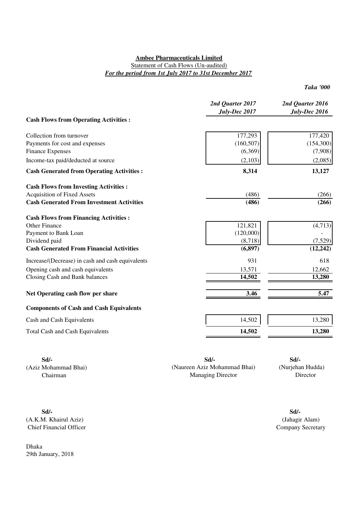#### Statement of Cash Flows (Un-audited) *For the period from 1st July 2017 to 31st December 2017*

*Taka '000*

|                                                  | 2nd Quarter 2017<br>July-Dec 2017 | 2nd Quarter 2016<br>July-Dec 2016 |
|--------------------------------------------------|-----------------------------------|-----------------------------------|
| <b>Cash Flows from Operating Activities :</b>    |                                   |                                   |
| Collection from turnover                         | 177,293                           | 177,420                           |
| Payments for cost and expenses                   | (160, 507)                        | (154, 300)                        |
| <b>Finance Expenses</b>                          | (6,369)                           | (7,908)                           |
| Income-tax paid/deducted at source               | (2,103)                           | (2,085)                           |
| <b>Cash Generated from Operating Activities:</b> | 8,314                             | 13,127                            |
| <b>Cash Flows from Investing Activities:</b>     |                                   |                                   |
| <b>Acquisition of Fixed Assets</b>               | (486)                             | (266)                             |
| <b>Cash Generated From Investment Activities</b> | (486)                             | (266)                             |
| <b>Cash Flows from Financing Activities:</b>     |                                   |                                   |
| <b>Other Finance</b>                             | 121,821                           | (4,713)                           |
| Payment to Bank Loan                             | (120,000)                         |                                   |
| Dividend paid                                    | (8,718)                           | (7,529)                           |
| <b>Cash Generated From Financial Activities</b>  | (6, 897)                          | (12, 242)                         |
| Increase/(Decrease) in cash and cash equivalents | 931                               | 618                               |
| Opening cash and cash equivalents                | 13,571                            | 12,662                            |
| Closing Cash and Bank balances                   | 14,502                            | 13,280                            |
| Net Operating cash flow per share                | 3.46                              | 5.47                              |
| <b>Components of Cash and Cash Equivalents</b>   |                                   |                                   |
| Cash and Cash Equivalents                        | 14,502                            | 13,280                            |
| <b>Total Cash and Cash Equivalents</b>           | 14,502                            | 13,280                            |
|                                                  |                                   |                                   |

| Sd/-                 | Sd/-                         |                  |
|----------------------|------------------------------|------------------|
| (Aziz Mohammad Bhai) | (Naureen Aziz Mohammad Bhai) | (Nurjehan Hudda) |
| Chairman             | <b>Managing Director</b>     | Director         |

**Sd/- Sd/-** (A.K.M. Khairul Aziz) Chief Financial Officer

Dhaka 29th January, 2018

(Jahagir Alam) Company Secretary